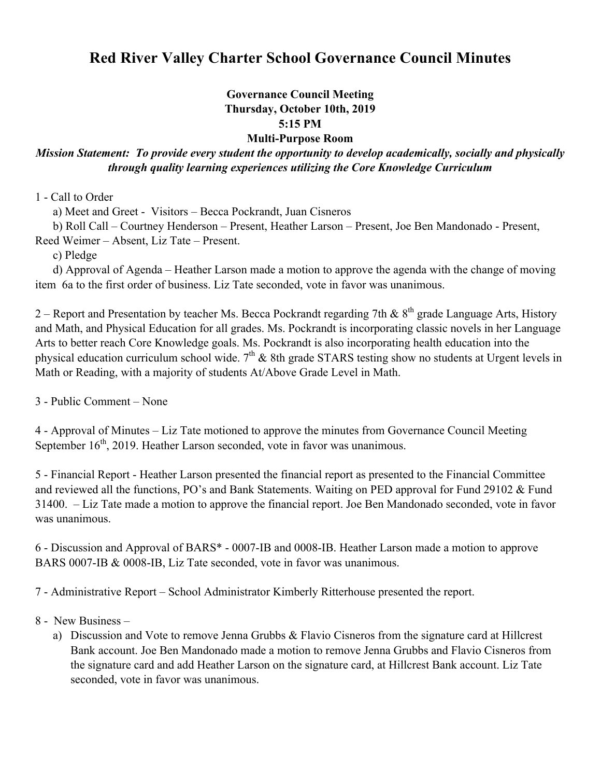# **Red River Valley Charter School Governance Council Minutes**

### **Governance Council Meeting Thursday, October 10th, 2019 5:15 PM Multi-Purpose Room**

## *Mission Statement: To provide every student the opportunity to develop academically, socially and physically through quality learning experiences utilizing the Core Knowledge Curriculum*

1 - Call to Order

a) Meet and Greet - Visitors – Becca Pockrandt, Juan Cisneros

b) Roll Call – Courtney Henderson – Present, Heather Larson – Present, Joe Ben Mandonado - Present,

Reed Weimer – Absent, Liz Tate – Present.

c) Pledge

 d) Approval of Agenda – Heather Larson made a motion to approve the agenda with the change of moving item 6a to the first order of business. Liz Tate seconded, vote in favor was unanimous.

2 – Report and Presentation by teacher Ms. Becca Pockrandt regarding 7th &  $8<sup>th</sup>$  grade Language Arts, History and Math, and Physical Education for all grades. Ms. Pockrandt is incorporating classic novels in her Language Arts to better reach Core Knowledge goals. Ms. Pockrandt is also incorporating health education into the physical education curriculum school wide.  $7<sup>th</sup>$  & 8th grade STARS testing show no students at Urgent levels in Math or Reading, with a majority of students At/Above Grade Level in Math.

3 - Public Comment – None

4 - Approval of Minutes – Liz Tate motioned to approve the minutes from Governance Council Meeting September  $16<sup>th</sup>$ , 2019. Heather Larson seconded, vote in favor was unanimous.

5 - Financial Report - Heather Larson presented the financial report as presented to the Financial Committee and reviewed all the functions, PO's and Bank Statements. Waiting on PED approval for Fund 29102 & Fund 31400. – Liz Tate made a motion to approve the financial report. Joe Ben Mandonado seconded, vote in favor was unanimous.

6 - Discussion and Approval of BARS\* - 0007-IB and 0008-IB. Heather Larson made a motion to approve BARS 0007-IB & 0008-IB, Liz Tate seconded, vote in favor was unanimous.

7 - Administrative Report – School Administrator Kimberly Ritterhouse presented the report.

- 8 New Business
	- a) Discussion and Vote to remove Jenna Grubbs & Flavio Cisneros from the signature card at Hillcrest Bank account. Joe Ben Mandonado made a motion to remove Jenna Grubbs and Flavio Cisneros from the signature card and add Heather Larson on the signature card, at Hillcrest Bank account. Liz Tate seconded, vote in favor was unanimous.